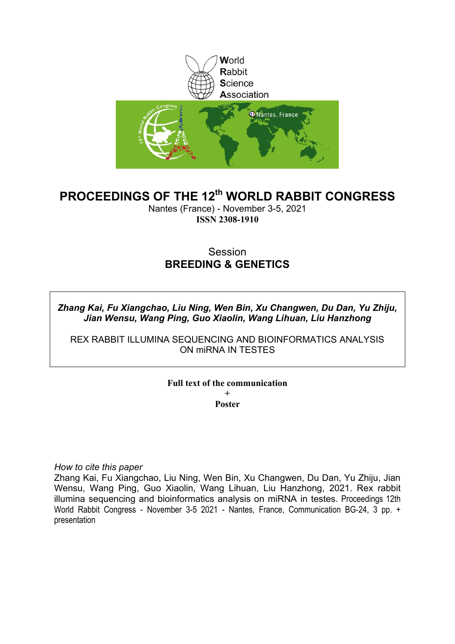

# **PROCEEDINGS OF THE 12th WORLD RABBIT CONGRESS**

Nantes (France) - November 3-5, 2021 **ISSN 2308-1910**

# Session **BREEDING & GENETICS**

*Zhang Kai, Fu Xiangchao, Liu Ning, Wen Bin, Xu Changwen, Du Dan, Yu Zhiju, Jian Wensu, Wang Ping, Guo Xiaolin, Wang Lihuan, Liu Hanzhong*

REX RABBIT ILLUMINA SEQUENCING AND BIOINFORMATICS ANALYSIS ON miRNA IN TESTES

# **Full text of the communication + Poster**

*How to cite this paper*

Zhang Kai, Fu Xiangchao, Liu Ning, Wen Bin, Xu Changwen, Du Dan, Yu Zhiju, Jian Wensu, Wang Ping, Guo Xiaolin, Wang Lihuan, Liu Hanzhong, 2021. Rex rabbit illumina sequencing and bioinformatics analysis on miRNA in testes. Proceedings 12th World Rabbit Congress - November 3-5 2021 - Nantes, France, Communication BG-24, 3 pp. + presentation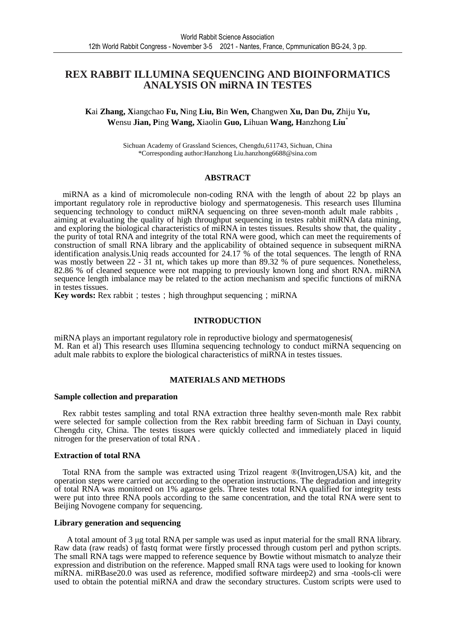# **REX RABBIT ILLUMINA SEQUENCING AND BIOINFORMATICS ANALYSIS ON miRNA IN TESTES**

**K**ai **Zhang, X**iangchao **Fu, N**ing **Liu, B**in **Wen, C**hangwen **Xu, Da**n **Du, Z**hiju **Yu, W**ensu **Jian, P**ing **Wang, X**iaolin **Guo, L**ihuan **Wang, H**anzhong **Liu**\*

> Sichuan Academy of Grassland Sciences, Chengdu,611743, Sichuan, China \*Corresponding author:Hanzhong Liu.hanzhong6688@sina.com

#### **ABSTRACT**

miRNA as a kind of micromolecule non-coding RNA with the length of about 22 bp plays an important regulatory role in reproductive biology and spermatogenesis. This research uses Illumina sequencing technology to conduct miRNA sequencing on three seven-month adult male rabbits, aiming at evaluating the quality of high throughput sequencing in testes rabbit miRNA data mining, and exploring the biological characteristics of miRNA in testes tissues. Results show that, the quality , the purity of total RNA and integrity of the total RNA were good, which can meet the requirements of construction of small RNA library and the applicability of obtained sequence in subsequent miRNA identification analysis. Uniq reads accounted for 24.17 % of the total sequences. The length of RNA was mostly between 22 - 31 nt, which takes up more than 89.32 % of pure sequences. Nonetheless, 82.86 % of cleaned sequence were not mapping to previously known long and short RNA. miRNA sequence length imbalance may be related to the action mechanism and specific functions of miRNA in testes tissues.

**Key words:** Rex rabbit; testes; high throughput sequencing; miRNA

### **INTRODUCTION**

miRNA plays an important regulatory role in reproductive biology and spermatogenesis( M. Ran et al) This research uses Illumina sequencing technology to conduct miRNA sequencing on adult male rabbits to explore the biological characteristics of miRNA in testes tissues.

# **MATERIALS AND METHODS**

#### **Sample collection and preparation**

Rex rabbit testes sampling and total RNA extraction three healthy seven-month male Rex rabbit were selected for sample collection from the Rex rabbit breeding farm of Sichuan in Dayi county, Chengdu city, China. The testes tissues were quickly collected and immediately placed in liquid nitrogen for the preservation of total RNA .

#### **Extraction of total RNA**

Total RNA from the sample was extracted using Trizol reagent ®(Invitrogen,USA) kit, and the operation steps were carried out according to the operation instructions. The degradation and integrity of total RNA was monitored on 1% agarose gels. Three testes total RNA qualified for integrity tests were put into three RNA pools according to the same concentration, and the total RNA were sent to Beijing Novogene company for sequencing.

# **Library generation and sequencing**

 A total amount of 3 µg total RNA per sample was used as input material for the small RNA library. Raw data (raw reads) of fastq format were firstly processed through custom perl and python scripts. The small RNA tags were mapped to reference sequence by Bowtie without mismatch to analyze their expression and distribution on the reference. Mapped small RNA tags were used to looking for known miRNA. miRBase20.0 was used as reference, modified software mirdeep2) and srna -tools-cli were used to obtain the potential miRNA and draw the secondary structures. Custom scripts were used to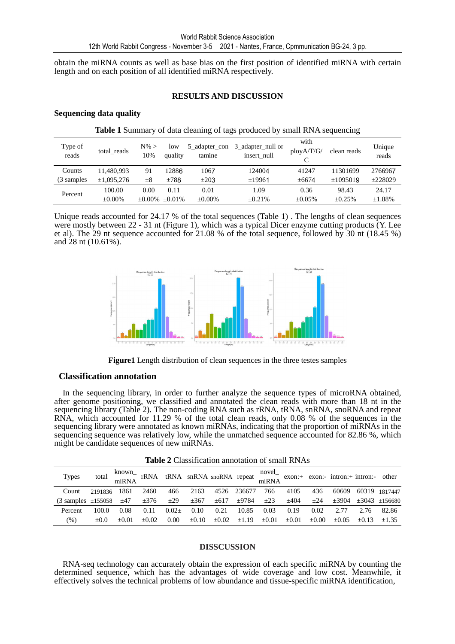obtain the miRNA counts as well as base bias on the first position of identified miRNA with certain length and on each position of all identified miRNA respectively.

## **RESULTS AND DISCUSSION**

### **Sequencing data quality**

| <b>Table 1</b> Summary of data cleaning of tags produced by small RNA sequencing |              |                |                |                         |                                  |                          |              |                 |  |  |  |
|----------------------------------------------------------------------------------|--------------|----------------|----------------|-------------------------|----------------------------------|--------------------------|--------------|-----------------|--|--|--|
| Type of<br>reads                                                                 | total reads  | $N\%$ ><br>10% | low<br>quality | 5 adapter con<br>tamine | 3 adapter null or<br>insert null | with<br>plov A/T/G/<br>C | clean reads  | Unique<br>reads |  |  |  |
| Counts                                                                           | 11,480,993   | 91             | 12886          | 1067                    | 124004                           | 41247                    | 11301699     | 2766967         |  |  |  |
| (3 samples)                                                                      | ±1,095,276   | $\pm 8$        | ±788           | $\pm 203$               | ±19961                           | $\pm 6674$               | ±1095019     | ±228029         |  |  |  |
| Percent                                                                          | 100.00       | 0.00           | 0.11           | 0.01                    | 1.09                             | 0.36                     | 98.43        | 24.17           |  |  |  |
|                                                                                  | $\pm 0.00\%$ | $\pm 0.00\%$   | $+0.01\%$      | $\pm 0.00\%$            | $\pm 0.21\%$                     | $\pm 0.05\%$             | $\pm 0.25\%$ | ±1.88%          |  |  |  |

Unique reads accounted for 24.17 % of the total sequences (Table 1) . The lengths of clean sequences were mostly between 22 - 31 nt (Figure 1), which was a typical Dicer enzyme cutting products (Y. Lee et al). The 29 nt sequence accounted for 21.08 % of the total sequence, followed by 30 nt (18.45 %) and 28 nt (10.61%).



**Figure1** Length distribution of clean sequences in the three testes samples

# **Classification annotation**

In the sequencing library, in order to further analyze the sequence types of microRNA obtained, after genome positioning, we classified and annotated the clean reads with more than 18 nt in the sequencing library (Table 2). The non-coding RNA such as rRNA, tRNA, snRNA, snoRNA and repeat RNA, which accounted for 11.29 % of the total clean reads, only 0.08 % of the sequences in the sequencing library were annotated as known miRNAs, indicating that the proportion of miRNAs in the sequencing sequence was relatively low, while the unmatched sequence accounted for 82.86 %, which might be candidate sequences of new miRNAs.

**Table 2** Classification annotation of small RNAs

| <b>Types</b>                             |         |         |           |         |            |                                         |             |            |            |            | total known<br>miRNA rRNA snRNA snoRNA repeat novel<br>miRNA exon:+ exon:- intron:+ intron:- other<br>miRNA |         |                                    |
|------------------------------------------|---------|---------|-----------|---------|------------|-----------------------------------------|-------------|------------|------------|------------|-------------------------------------------------------------------------------------------------------------|---------|------------------------------------|
| Count                                    | 2191836 | 1861    | 2460      | 466     | 2163       |                                         | 4526 236677 | 766        | 4105       | 436        | 60609                                                                                                       |         | 60319 1817447                      |
| $(3 \text{ samples } \pm 155058 \pm 47)$ |         |         | $\pm 376$ |         |            | $\pm 29$ $\pm 367$ $\pm 617$ $\pm 9784$ |             | $\pm 23$   | ±404       | ±24        |                                                                                                             |         | $\pm 3904$ $\pm 3043$ $\pm 156680$ |
| Percent                                  | 100.0   | 0.08    | 0.11      | $0.02+$ | 0.10       | 0.21                                    | 10.85       | 0.03       | 0.19       | 0.02       | 2.77                                                                                                        | 2.76    | 82.86                              |
| $(\%)$                                   | $+0.0$  | $+0.01$ | $+0.02$   | 0.00    | $\pm 0.10$ | $\pm 0.02$                              | $\pm 1.19$  | $\pm 0.01$ | $\pm 0.01$ | $\pm 0.00$ | $\pm 0.05$                                                                                                  | $+0.13$ | $+1.35$                            |

#### **DISSCUSSION**

RNA-seq technology can accurately obtain the expression of each specific miRNA by counting the determined sequence, which has the advantages of wide coverage and low cost. Meanwhile, it effectively solves the technical problems of low abundance and tissue-specific miRNA identification,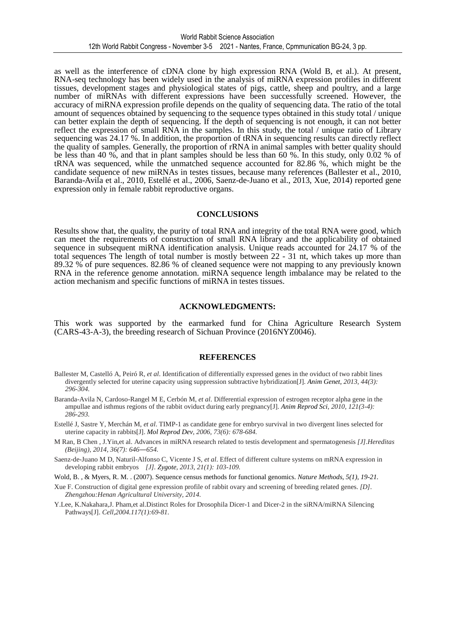as well as the interference of cDNA clone by high expression RNA (Wold B, et al.). At present, RNA-seq technology has been widely used in the analysis of miRNA expression profiles in different tissues, development stages and physiological states of pigs, cattle, sheep and poultry, and a large number of miRNAs with different expressions have been successfully screened. However, the accuracy of miRNA expression profile depends on the quality of sequencing data. The ratio of the total amount of sequences obtained by sequencing to the sequence types obtained in this study total / unique can better explain the depth of sequencing. If the depth of sequencing is not enough, it can not better reflect the expression of small RNA in the samples. In this study, the total / unique ratio of Library sequencing was 24.17 %. In addition, the proportion of tRNA in sequencing results can directly reflect the quality of samples. Generally, the proportion of rRNA in animal samples with better quality should be less than 40 %, and that in plant samples should be less than 60 %. In this study, only 0.02 % of tRNA was sequenced, while the unmatched sequence accounted for 82.86 %, which might be the candidate sequence of new miRNAs in testes tissues, because many references (Ballester et al., 2010, Baranda-Avila et al., 2010, Estellé et al., 2006, Saenz-de-Juano et al., 2013, Xue, 2014) reported gene expression only in female rabbit reproductive organs.

## **CONCLUSIONS**

Results show that, the quality, the purity of total RNA and integrity of the total RNA were good, which can meet the requirements of construction of small RNA library and the applicability of obtained sequence in subsequent miRNA identification analysis. Unique reads accounted for 24.17 % of the total sequences The length of total number is mostly between 22 - 31 nt, which takes up more than 89.32 % of pure sequences. 82.86 % of cleaned sequence were not mapping to any previously known RNA in the reference genome annotation. miRNA sequence length imbalance may be related to the action mechanism and specific functions of miRNA in testes tissues.

### **ACKNOWLEDGMENTS:**

This work was supported by the earmarked fund for China Agriculture Research System (CARS-43-A-3), the breeding research of Sichuan Province (2016NYZ0046).

#### **REFERENCES**

- Ballester M, Castelló A, Peiró R, *et al*. Identification of differentially expressed genes in the oviduct of two rabbit lines divergently selected for uterine capacity using suppression subtractive hybridization[J]. *Anim Genet, 2013, 44(3): 296-304.*
- Baranda-Avila N, Cardoso-Rangel M E, Cerbón M, *et al*. Differential expression of estrogen receptor alpha gene in the ampullae and isthmus regions of the rabbit oviduct during early pregnancy[J]. *Anim Reprod Sci, 2010, 121(3-4): 286-293.*
- Estellé J, Sastre Y, Merchán M, *et al*. TIMP-1 as candidate gene for embryo survival in two divergent lines selected for uterine capacity in rabbits[J]. *Mol Reprod Dev, 2006, 73(6): 678-684.*
- M Ran, B Chen , J.Yin,et al. Advances in miRNA research related to testis development and spermatogenesis *[J].Hereditas (Beijing), 2014, 36(7): 646―654.*
- Saenz-de-Juano M D, Naturil-Alfonso C, Vicente J S, *et al*. Effect of different culture systems on mRNA expression in developing rabbit embryos *[J]. Zygote, 2013, 21(1): 103-109.*
- Wold, B., & Myers, R. M. . (2007). Sequence census methods for functional genomics. *Nature Methods*, 5(1), 19-21.
- Xue F. Construction of digital gene expression profile of rabbit ovary and screening of breeding related genes. *[D]. Zhengzhou:Henan Agricultural University, 2014.*
- Y.Lee, K.Nakahara,J. Pham,et al.Distinct Roles for Drosophila Dicer-1 and Dicer-2 in the siRNA/miRNA Silencing Pathways[J]. *Cell,2004.117(1):69-81.*